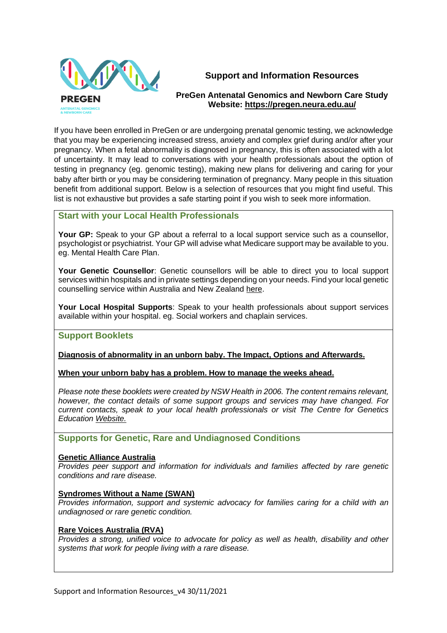

# **Support and Information Resources**

# **PreGen Antenatal Genomics and Newborn Care Study Website:<https://pregen.neura.edu.au/>**

If you have been enrolled in PreGen or are undergoing prenatal genomic testing, we acknowledge that you may be experiencing increased stress, anxiety and complex grief during and/or after your pregnancy. When a fetal abnormality is diagnosed in pregnancy, this is often associated with a lot of uncertainty. It may lead to conversations with your health professionals about the option of testing in pregnancy (eg. genomic testing), making new plans for delivering and caring for your baby after birth or you may be considering termination of pregnancy. Many people in this situation benefit from additional support. Below is a selection of resources that you might find useful. This list is not exhaustive but provides a safe starting point if you wish to seek more information.

# **Start with your Local Health Professionals**

**Your GP:** Speak to your GP about a referral to a local support service such as a counsellor, psychologist or psychiatrist. Your GP will advise what Medicare support may be available to you. eg. Mental Health Care Plan.

**Your Genetic Counsellor**: Genetic counsellors will be able to direct you to local support services within hospitals and in private settings depending on your needs. Find your local genetic counselling service within Australia and New Zealand [here.](https://www.genetics.edu.au/genetic-services/general-genetics-clinics)

**Your Local Hospital Supports**: Speak to your health professionals about support services available within your hospital. eg. Social workers and chaplain services.

# **Support Booklets**

# **[Diagnosis of abnormality in an unborn baby. The Impact, Options and Afterwards.](https://www.genetics.edu.au/publications-and-resources/booklets-and-pamphlets/safda-impact-options-afterwards)**

**[When your unborn baby has a problem. How to manage the weeks ahead.](https://www.genetics.edu.au/publications-and-resources/booklets-and-pamphlets/safda-manage-the-weeks-ahead)**

*Please note these booklets were created by NSW Health in 2006. The content remains relevant, however, the contact details of some support groups and services may have changed. For current contacts, speak to your local health professionals or visit The Centre for Genetics Education [Website.](https://www.genetics.edu.au/)*

**Supports for Genetic, Rare and Undiagnosed Conditions**

#### **[Genetic Alliance Australia](https://www.geneticalliance.org.au/index.php)**

*Provides peer support and information for individuals and families affected by rare genetic conditions and rare disease.* 

#### **[Syndromes Without a Name \(SWAN\)](https://swanaus.org.au/)**

*Provides information, support and systemic advocacy for families caring for a child with an undiagnosed or rare genetic condition.* 

#### **[Rare Voices Australia \(RVA\)](https://rarevoices.org.au/)**

*Provides a strong, unified voice to advocate for policy as well as health, disability and other systems that work for people living with a rare disease.*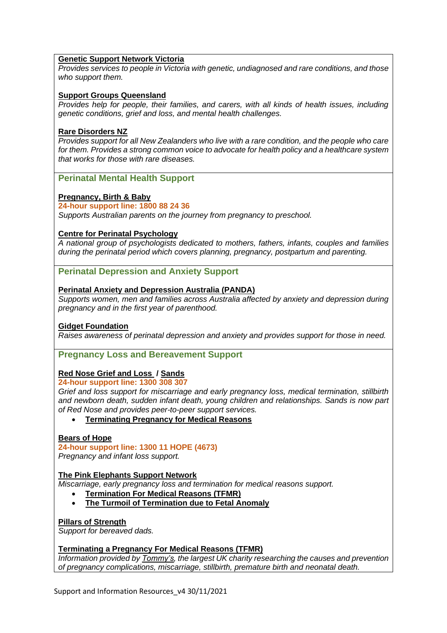#### **[Genetic Support Network Victoria](https://www.gsnv.org.au/)**

*Provides services to people in Victoria with genetic, undiagnosed and rare conditions, and those who support them.*

#### **[Support Groups Queensland](https://supportgroups.org.au/)**

*Provides help for people, their families, and carers, with all kinds of health issues, including genetic conditions, grief and loss, and mental health challenges.*

#### **[Rare Disorders NZ](https://raredisorders.org.nz/)**

*Provides support for all New Zealanders who live with a rare condition, and the people who care for them. Provides a strong common voice to advocate for health policy and a healthcare system that works for those with rare diseases.*

#### **Perinatal Mental Health Support**

### **[Pregnancy, Birth & Baby](https://www.pregnancybirthbaby.org.au/)**

#### **24-hour support line: 1800 88 24 36**

*Supports Australian parents on the journey from pregnancy to preschool.*

#### **[Centre for Perinatal Psychology](https://www.centreforperinatalpsychology.com.au/)**

*A national group of psychologists dedicated to mothers, fathers, infants, couples and families during the perinatal period which covers planning, pregnancy, postpartum and parenting.*

#### **Perinatal Depression and Anxiety Support**

#### **[Perinatal Anxiety and Depression Australia](https://www.panda.org.au/) (PANDA)**

*Supports women, men and families across Australia affected by anxiety and depression during pregnancy and in the first year of parenthood.*

#### **[Gidget Foundation](https://www.gidgetfoundation.org.au/)**

*Raises awareness of perinatal depression and anxiety and provides support for those in need.* 

#### **Pregnancy Loss and Bereavement Support**

#### **Red Nose [Grief and Loss](https://rednosegriefandloss.org.au/) / [Sands](https://www.sands.org.au/)**

**24-hour support line: 1300 308 307**

*Grief and loss support for miscarriage and early pregnancy loss, medical termination, stillbirth and newborn death, sudden infant death, young children and relationships. Sands is now part of Red Nose and provides peer-to-peer support services.*

• **[Terminating Pregnancy for Medical Reasons](https://www.sands.org.au/Handlers/Download.ashx?IDMF=5e2dfed7-e14c-4815-a10b-0b6a48b81ade)**

#### **[Bears of Hope](https://www.bearsofhope.org.au/)**

**24-hour support line: 1300 11 HOPE (4673)**

*Pregnancy and infant loss support.*

#### **[The Pink Elephants Support Network](https://www.pinkelephants.org.au/)**

*Miscarriage, early pregnancy loss and termination for medical reasons support.*

- **[Termination For Medical Reasons](https://www.pinkelephants.org.au/page/72/termination-for-medical-reasons) (TFMR)**
- **[The Turmoil of Termination due to Fetal Anomaly](https://pesnpinkelephants.blob.core.windows.net/assets/pages/PENS-The-Turmoil-of-Termination-WEBSITE.pdf)**

#### **[Pillars of Strength](https://pillarsofstrength.com.au/)**

*Support for bereaved dads.*

#### **[Terminating a Pregnancy For Medical Reasons](https://www.tommys.org/baby-loss-support/tfmr-terminating-pregnancy-medical-reasons) (TFMR)**

*Information provided by [Tommy's,](https://www.tommys.org/) the largest UK charity researching the causes and prevention of pregnancy complications, miscarriage, stillbirth, premature birth and neonatal death.*